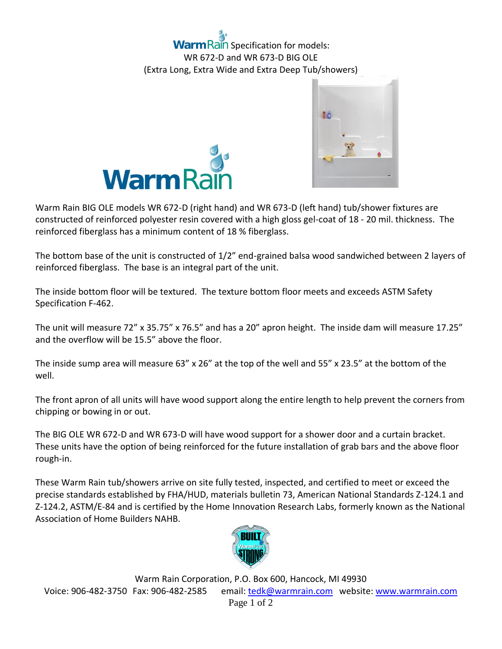





Warm Rain BIG OLE models WR 672-D (right hand) and WR 673-D (left hand) tub/shower fixtures are constructed of reinforced polyester resin covered with a high gloss gel-coat of 18 - 20 mil. thickness. The reinforced fiberglass has a minimum content of 18 % fiberglass.

The bottom base of the unit is constructed of 1/2" end-grained balsa wood sandwiched between 2 layers of reinforced fiberglass. The base is an integral part of the unit.

The inside bottom floor will be textured. The texture bottom floor meets and exceeds ASTM Safety Specification F-462.

The unit will measure 72" x 35.75" x 76.5" and has a 20" apron height. The inside dam will measure 17.25" and the overflow will be 15.5" above the floor.

The inside sump area will measure 63" x 26" at the top of the well and 55" x 23.5" at the bottom of the well.

The front apron of all units will have wood support along the entire length to help prevent the corners from chipping or bowing in or out.

The BIG OLE WR 672-D and WR 673-D will have wood support for a shower door and a curtain bracket. These units have the option of being reinforced for the future installation of grab bars and the above floor rough-in.

These Warm Rain tub/showers arrive on site fully tested, inspected, and certified to meet or exceed the precise standards established by FHA/HUD, materials bulletin 73, American National Standards Z-124.1 and Z-124.2, ASTM/E-84 and is certified by the Home Innovation Research Labs, formerly known as the National Association of Home Builders NAHB.